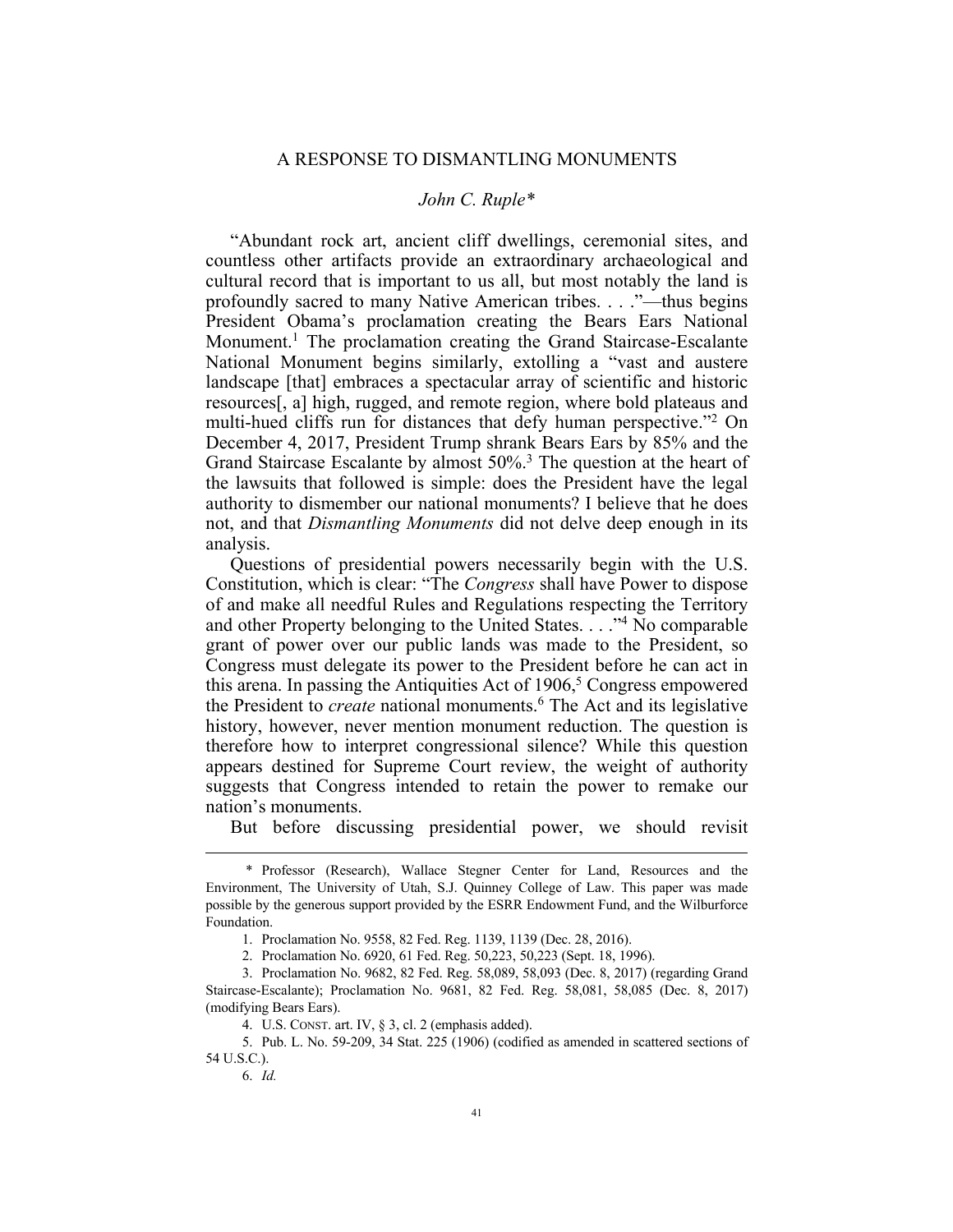## *John C. Ruple\**

"Abundant rock art, ancient cliff dwellings, ceremonial sites, and countless other artifacts provide an extraordinary archaeological and cultural record that is important to us all, but most notably the land is profoundly sacred to many Native American tribes. . . ."—thus begins President Obama's proclamation creating the Bears Ears National Monument.<sup>1</sup> The proclamation creating the Grand Staircase-Escalante National Monument begins similarly, extolling a "vast and austere landscape [that] embraces a spectacular array of scientific and historic resources[, a] high, rugged, and remote region, where bold plateaus and multi-hued cliffs run for distances that defy human perspective."2 On December 4, 2017, President Trump shrank Bears Ears by 85% and the Grand Staircase Escalante by almost 50%.<sup>3</sup> The question at the heart of the lawsuits that followed is simple: does the President have the legal authority to dismember our national monuments? I believe that he does not, and that *Dismantling Monuments* did not delve deep enough in its analysis.

Questions of presidential powers necessarily begin with the U.S. Constitution, which is clear: "The *Congress* shall have Power to dispose of and make all needful Rules and Regulations respecting the Territory and other Property belonging to the United States. . . ."4 No comparable grant of power over our public lands was made to the President, so Congress must delegate its power to the President before he can act in this arena. In passing the Antiquities Act of 1906, <sup>5</sup> Congress empowered the President to *create* national monuments.6 The Act and its legislative history, however, never mention monument reduction. The question is therefore how to interpret congressional silence? While this question appears destined for Supreme Court review, the weight of authority suggests that Congress intended to retain the power to remake our nation's monuments.

But before discussing presidential power, we should revisit

 <sup>\*</sup> Professor (Research), Wallace Stegner Center for Land, Resources and the Environment, The University of Utah, S.J. Quinney College of Law. This paper was made possible by the generous support provided by the ESRR Endowment Fund, and the Wilburforce Foundation.

<sup>1.</sup> Proclamation No. 9558, 82 Fed. Reg. 1139, 1139 (Dec. 28, 2016).

<sup>2.</sup> Proclamation No. 6920, 61 Fed. Reg. 50,223, 50,223 (Sept. 18, 1996).

<sup>3.</sup> Proclamation No. 9682, 82 Fed. Reg. 58,089, 58,093 (Dec. 8, 2017) (regarding Grand Staircase-Escalante); Proclamation No. 9681, 82 Fed. Reg. 58,081, 58,085 (Dec. 8, 2017) (modifying Bears Ears).

<sup>4.</sup> U.S. CONST. art. IV, § 3, cl. 2 (emphasis added).

<sup>5.</sup> Pub. L. No. 59-209, 34 Stat. 225 (1906) (codified as amended in scattered sections of 54 U.S.C.).

<sup>6.</sup> *Id.*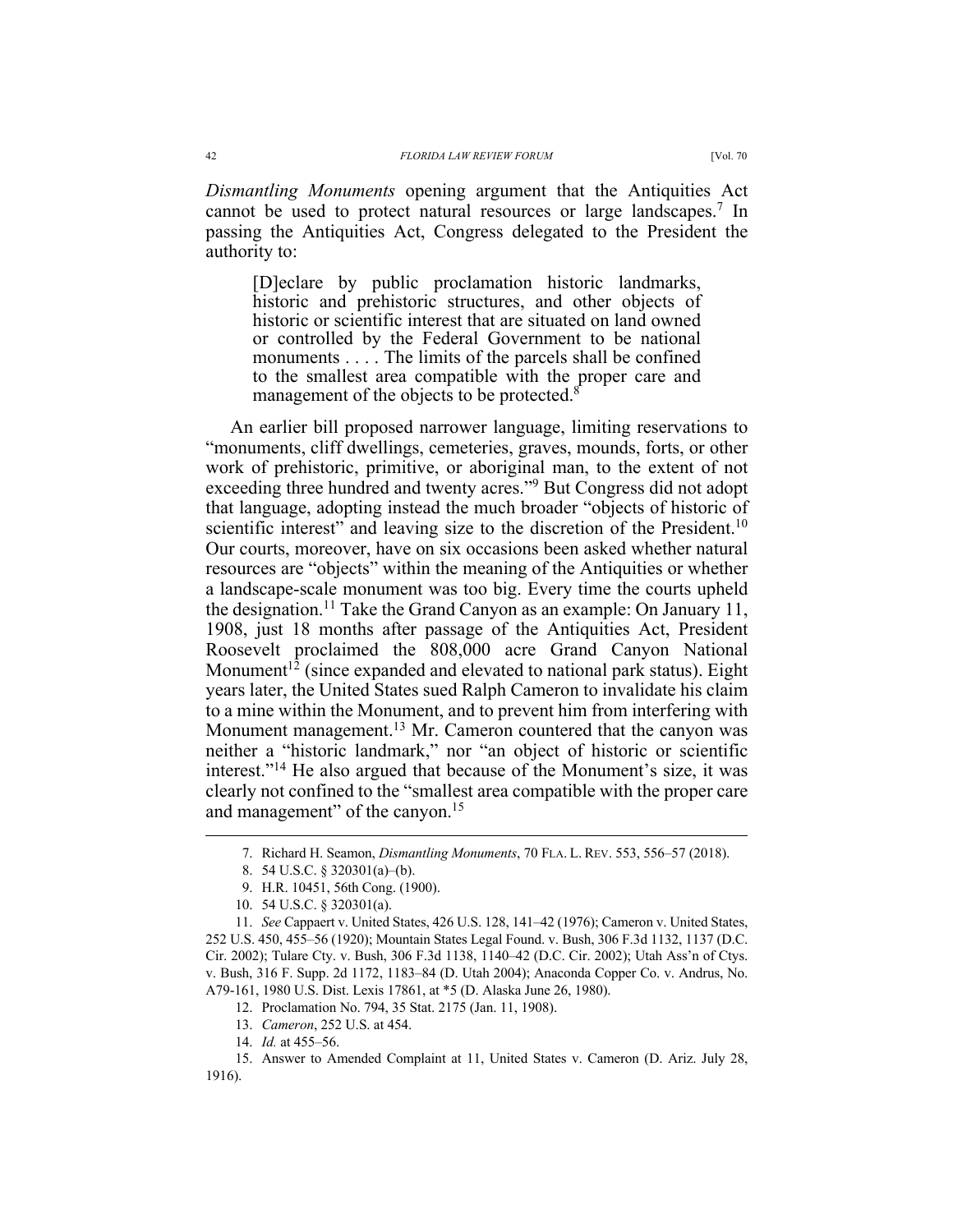*Dismantling Monuments* opening argument that the Antiquities Act cannot be used to protect natural resources or large landscapes.7 In passing the Antiquities Act, Congress delegated to the President the authority to:

[D]eclare by public proclamation historic landmarks, historic and prehistoric structures, and other objects of historic or scientific interest that are situated on land owned or controlled by the Federal Government to be national monuments . . . . The limits of the parcels shall be confined to the smallest area compatible with the proper care and management of the objects to be protected.<sup>8</sup>

An earlier bill proposed narrower language, limiting reservations to "monuments, cliff dwellings, cemeteries, graves, mounds, forts, or other work of prehistoric, primitive, or aboriginal man, to the extent of not exceeding three hundred and twenty acres."9 But Congress did not adopt that language, adopting instead the much broader "objects of historic of scientific interest" and leaving size to the discretion of the President.<sup>10</sup> Our courts, moreover, have on six occasions been asked whether natural resources are "objects" within the meaning of the Antiquities or whether a landscape-scale monument was too big. Every time the courts upheld the designation.<sup>11</sup> Take the Grand Canyon as an example: On January 11, 1908, just 18 months after passage of the Antiquities Act, President Roosevelt proclaimed the 808,000 acre Grand Canyon National Monument<sup>12</sup> (since expanded and elevated to national park status). Eight years later, the United States sued Ralph Cameron to invalidate his claim to a mine within the Monument, and to prevent him from interfering with Monument management.<sup>13</sup> Mr. Cameron countered that the canyon was neither a "historic landmark," nor "an object of historic or scientific interest."14 He also argued that because of the Monument's size, it was clearly not confined to the "smallest area compatible with the proper care and management" of the canyon.<sup>15</sup>

12. Proclamation No. 794, 35 Stat. 2175 (Jan. 11, 1908).

 <sup>7.</sup> Richard H. Seamon, *Dismantling Monuments*, 70 FLA. L. REV. 553, 556–57 (2018).

<sup>8.</sup> 54 U.S.C. § 320301(a)–(b).

<sup>9.</sup> H.R. 10451, 56th Cong. (1900).

<sup>10.</sup> 54 U.S.C. § 320301(a).

<sup>11.</sup> *See* Cappaert v. United States, 426 U.S. 128, 141–42 (1976); Cameron v. United States, 252 U.S. 450, 455–56 (1920); Mountain States Legal Found. v. Bush, 306 F.3d 1132, 1137 (D.C. Cir. 2002); Tulare Cty. v. Bush, 306 F.3d 1138, 1140–42 (D.C. Cir. 2002); Utah Ass'n of Ctys. v. Bush, 316 F. Supp. 2d 1172, 1183–84 (D. Utah 2004); Anaconda Copper Co. v. Andrus, No. A79-161, 1980 U.S. Dist. Lexis 17861, at \*5 (D. Alaska June 26, 1980).

<sup>13.</sup> *Cameron*, 252 U.S. at 454.

<sup>14.</sup> *Id.* at 455–56.

<sup>15.</sup> Answer to Amended Complaint at 11, United States v. Cameron (D. Ariz. July 28, 1916).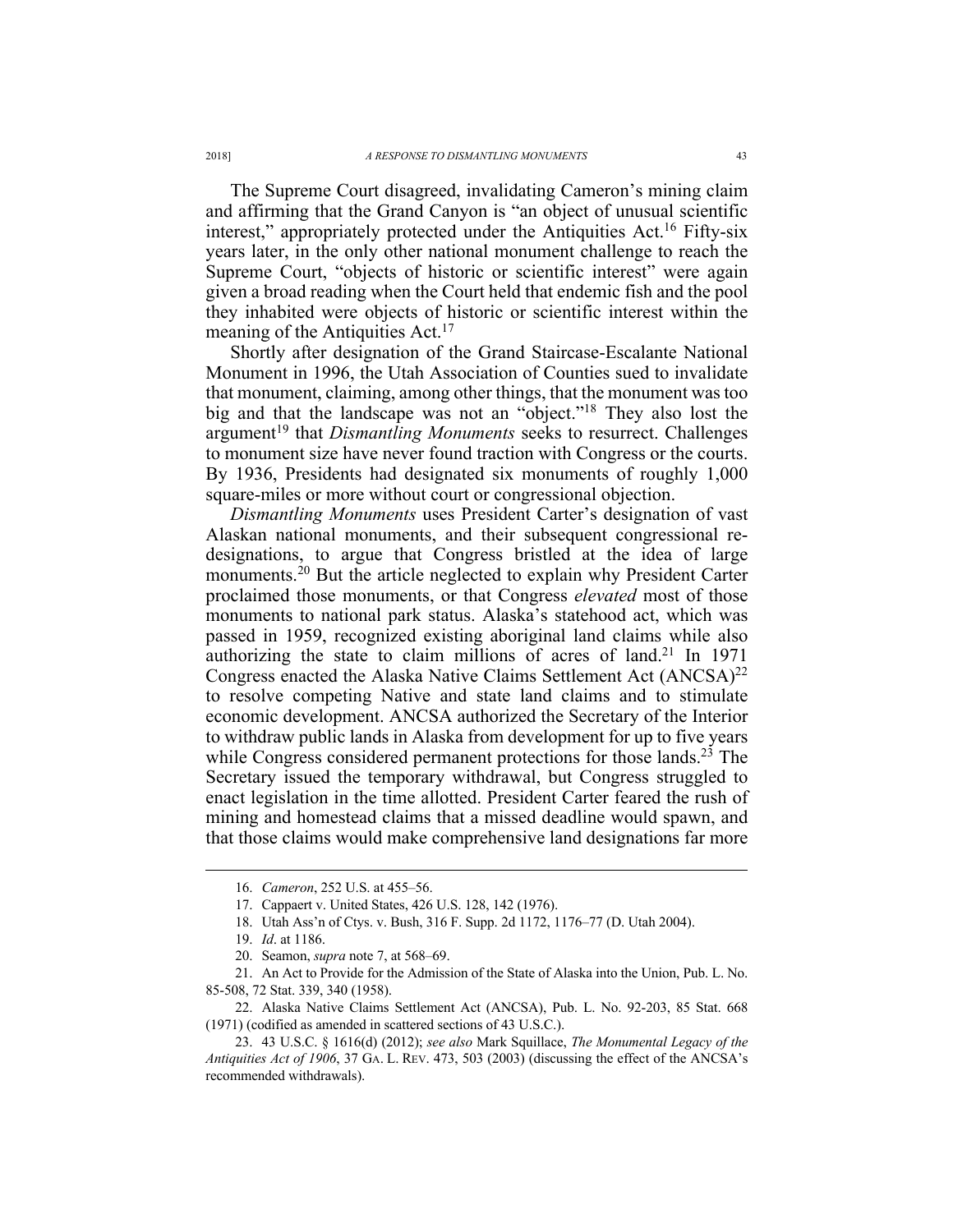The Supreme Court disagreed, invalidating Cameron's mining claim and affirming that the Grand Canyon is "an object of unusual scientific interest," appropriately protected under the Antiquities Act.<sup>16</sup> Fifty-six years later, in the only other national monument challenge to reach the Supreme Court, "objects of historic or scientific interest" were again given a broad reading when the Court held that endemic fish and the pool they inhabited were objects of historic or scientific interest within the meaning of the Antiquities Act.<sup>17</sup>

Shortly after designation of the Grand Staircase-Escalante National Monument in 1996, the Utah Association of Counties sued to invalidate that monument, claiming, among other things, that the monument was too big and that the landscape was not an "object."18 They also lost the argument<sup>19</sup> that *Dismantling Monuments* seeks to resurrect. Challenges to monument size have never found traction with Congress or the courts. By 1936, Presidents had designated six monuments of roughly 1,000 square-miles or more without court or congressional objection.

*Dismantling Monuments* uses President Carter's designation of vast Alaskan national monuments, and their subsequent congressional redesignations, to argue that Congress bristled at the idea of large monuments.20 But the article neglected to explain why President Carter proclaimed those monuments, or that Congress *elevated* most of those monuments to national park status. Alaska's statehood act, which was passed in 1959, recognized existing aboriginal land claims while also authorizing the state to claim millions of acres of land.<sup>21</sup> In 1971 Congress enacted the Alaska Native Claims Settlement Act  $(ANCSA)^{22}$ to resolve competing Native and state land claims and to stimulate economic development. ANCSA authorized the Secretary of the Interior to withdraw public lands in Alaska from development for up to five years while Congress considered permanent protections for those lands.<sup>23</sup> The Secretary issued the temporary withdrawal, but Congress struggled to enact legislation in the time allotted. President Carter feared the rush of mining and homestead claims that a missed deadline would spawn, and that those claims would make comprehensive land designations far more

 <sup>16.</sup> *Cameron*, 252 U.S. at 455–56.

<sup>17.</sup> Cappaert v. United States, 426 U.S. 128, 142 (1976).

<sup>18.</sup> Utah Ass'n of Ctys. v. Bush, 316 F. Supp. 2d 1172, 1176–77 (D. Utah 2004).

<sup>19.</sup> *Id*. at 1186.

<sup>20.</sup> Seamon, *supra* note 7, at 568–69.

<sup>21.</sup> An Act to Provide for the Admission of the State of Alaska into the Union, Pub. L. No. 85-508, 72 Stat. 339, 340 (1958).

<sup>22.</sup> Alaska Native Claims Settlement Act (ANCSA), Pub. L. No. 92-203, 85 Stat. 668 (1971) (codified as amended in scattered sections of 43 U.S.C.).

<sup>23.</sup> 43 U.S.C. § 1616(d) (2012); *see also* Mark Squillace, *The Monumental Legacy of the Antiquities Act of 1906*, 37 GA. L. REV. 473, 503 (2003) (discussing the effect of the ANCSA's recommended withdrawals).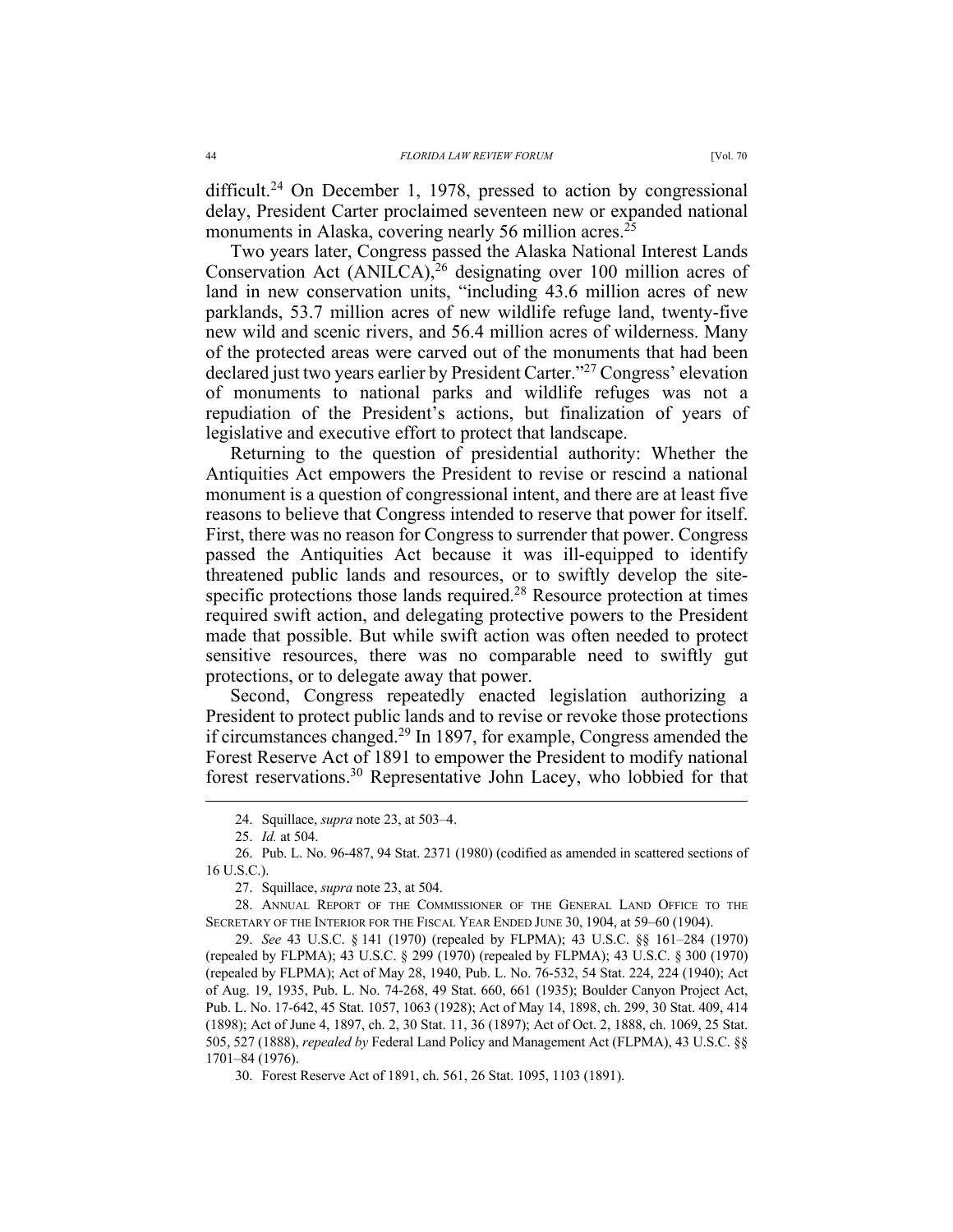difficult.<sup>24</sup> On December 1, 1978, pressed to action by congressional delay, President Carter proclaimed seventeen new or expanded national monuments in Alaska, covering nearly 56 million acres.<sup>25</sup>

Two years later, Congress passed the Alaska National Interest Lands Conservation Act  $(ANIICA)^{26}$  designating over 100 million acres of land in new conservation units, "including 43.6 million acres of new parklands, 53.7 million acres of new wildlife refuge land, twenty-five new wild and scenic rivers, and 56.4 million acres of wilderness. Many of the protected areas were carved out of the monuments that had been declared just two years earlier by President Carter."27 Congress' elevation of monuments to national parks and wildlife refuges was not a repudiation of the President's actions, but finalization of years of legislative and executive effort to protect that landscape.

Returning to the question of presidential authority: Whether the Antiquities Act empowers the President to revise or rescind a national monument is a question of congressional intent, and there are at least five reasons to believe that Congress intended to reserve that power for itself. First, there was no reason for Congress to surrender that power. Congress passed the Antiquities Act because it was ill-equipped to identify threatened public lands and resources, or to swiftly develop the sitespecific protections those lands required.<sup>28</sup> Resource protection at times required swift action, and delegating protective powers to the President made that possible. But while swift action was often needed to protect sensitive resources, there was no comparable need to swiftly gut protections, or to delegate away that power.

Second, Congress repeatedly enacted legislation authorizing a President to protect public lands and to revise or revoke those protections if circumstances changed.29 In 1897, for example, Congress amended the Forest Reserve Act of 1891 to empower the President to modify national forest reservations.30 Representative John Lacey, who lobbied for that

28. ANNUAL REPORT OF THE COMMISSIONER OF THE GENERAL LAND OFFICE TO THE SECRETARY OF THE INTERIOR FOR THE FISCAL YEAR ENDED JUNE 30, 1904, at 59–60 (1904).

29. *See* 43 U.S.C. § 141 (1970) (repealed by FLPMA); 43 U.S.C. §§ 161–284 (1970) (repealed by FLPMA); 43 U.S.C. § 299 (1970) (repealed by FLPMA); 43 U.S.C. § 300 (1970) (repealed by FLPMA); Act of May 28, 1940, Pub. L. No. 76-532, 54 Stat. 224, 224 (1940); Act of Aug. 19, 1935, Pub. L. No. 74-268, 49 Stat. 660, 661 (1935); Boulder Canyon Project Act, Pub. L. No. 17-642, 45 Stat. 1057, 1063 (1928); Act of May 14, 1898, ch. 299, 30 Stat. 409, 414 (1898); Act of June 4, 1897, ch. 2, 30 Stat. 11, 36 (1897); Act of Oct. 2, 1888, ch. 1069, 25 Stat. 505, 527 (1888), *repealed by* Federal Land Policy and Management Act (FLPMA), 43 U.S.C. §§ 1701–84 (1976).

30. Forest Reserve Act of 1891, ch. 561, 26 Stat. 1095, 1103 (1891).

 <sup>24.</sup> Squillace, *supra* note 23, at 503–4.

<sup>25.</sup> *Id.* at 504.

<sup>26.</sup> Pub. L. No. 96-487, 94 Stat. 2371 (1980) (codified as amended in scattered sections of 16 U.S.C.).

<sup>27.</sup> Squillace, *supra* note 23, at 504.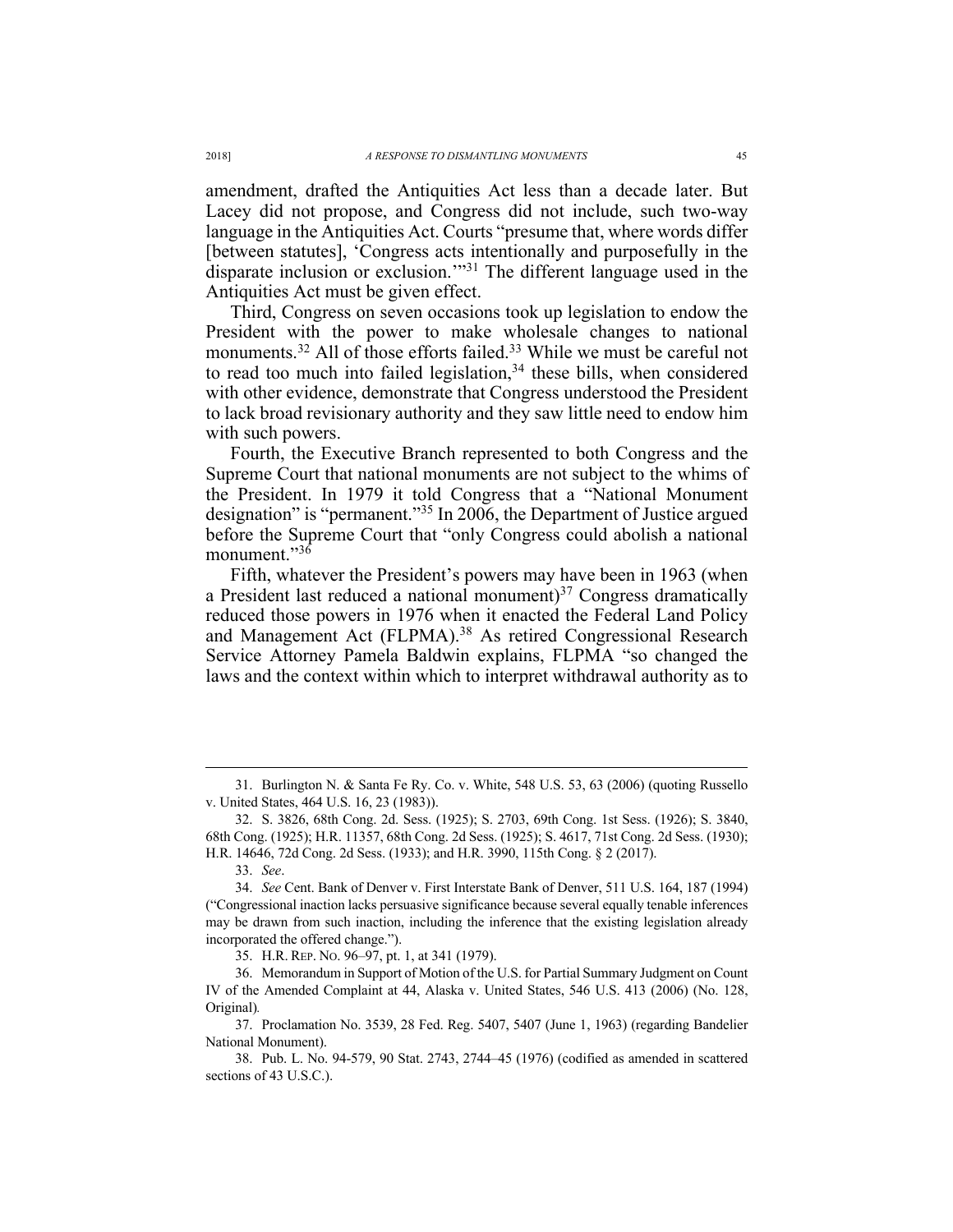amendment, drafted the Antiquities Act less than a decade later. But Lacey did not propose, and Congress did not include, such two-way language in the Antiquities Act. Courts "presume that, where words differ [between statutes], 'Congress acts intentionally and purposefully in the disparate inclusion or exclusion.'"31 The different language used in the Antiquities Act must be given effect.

Third, Congress on seven occasions took up legislation to endow the President with the power to make wholesale changes to national monuments.<sup>32</sup> All of those efforts failed.<sup>33</sup> While we must be careful not to read too much into failed legislation, $34$  these bills, when considered with other evidence, demonstrate that Congress understood the President to lack broad revisionary authority and they saw little need to endow him with such powers.

Fourth, the Executive Branch represented to both Congress and the Supreme Court that national monuments are not subject to the whims of the President. In 1979 it told Congress that a "National Monument designation" is "permanent."35 In 2006, the Department of Justice argued before the Supreme Court that "only Congress could abolish a national monument."36

Fifth, whatever the President's powers may have been in 1963 (when a President last reduced a national monument) $37$  Congress dramatically reduced those powers in 1976 when it enacted the Federal Land Policy and Management Act (FLPMA).<sup>38</sup> As retired Congressional Research Service Attorney Pamela Baldwin explains, FLPMA "so changed the laws and the context within which to interpret withdrawal authority as to

 <sup>31.</sup> Burlington N. & Santa Fe Ry. Co. v. White, 548 U.S. 53, 63 (2006) (quoting Russello v. United States, 464 U.S. 16, 23 (1983)).

<sup>32.</sup> S. 3826, 68th Cong. 2d. Sess. (1925); S. 2703, 69th Cong. 1st Sess. (1926); S. 3840, 68th Cong. (1925); H.R. 11357, 68th Cong. 2d Sess. (1925); S. 4617, 71st Cong. 2d Sess. (1930); H.R. 14646, 72d Cong. 2d Sess. (1933); and H.R. 3990, 115th Cong. § 2 (2017).

<sup>33.</sup> *See*.

<sup>34.</sup> *See* Cent. Bank of Denver v. First Interstate Bank of Denver, 511 U.S. 164, 187 (1994) ("Congressional inaction lacks persuasive significance because several equally tenable inferences may be drawn from such inaction, including the inference that the existing legislation already incorporated the offered change.").

<sup>35.</sup> H.R. REP. NO. 96–97, pt. 1, at 341 (1979).

<sup>36.</sup> Memorandum in Support of Motion of the U.S. for Partial Summary Judgment on Count IV of the Amended Complaint at 44, Alaska v. United States, 546 U.S. 413 (2006) (No. 128, Original)*.*

<sup>37.</sup> Proclamation No. 3539, 28 Fed. Reg. 5407, 5407 (June 1, 1963) (regarding Bandelier National Monument).

<sup>38.</sup> Pub. L. No. 94-579, 90 Stat. 2743, 2744–45 (1976) (codified as amended in scattered sections of 43 U.S.C.).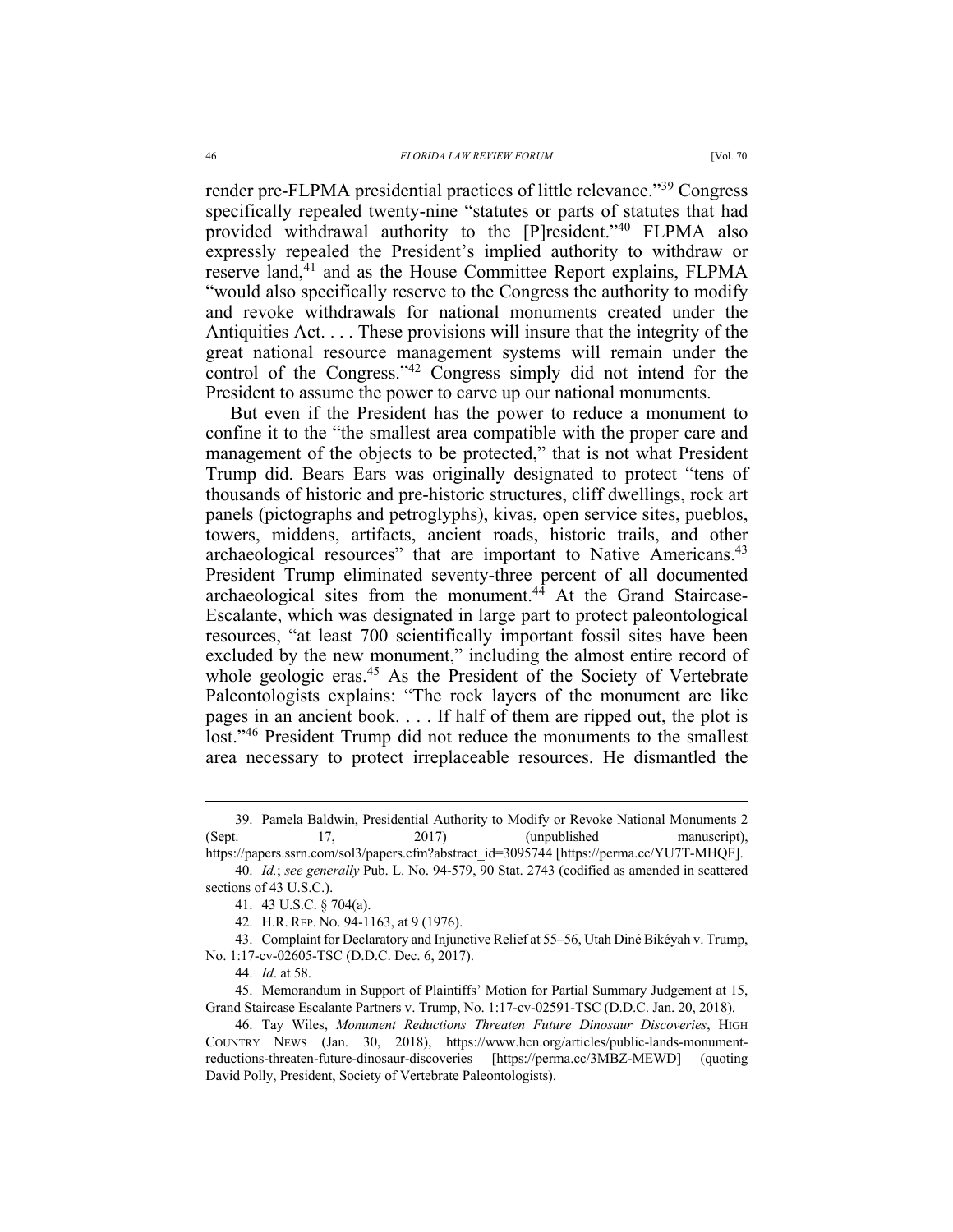render pre-FLPMA presidential practices of little relevance."39 Congress specifically repealed twenty-nine "statutes or parts of statutes that had provided withdrawal authority to the [P]resident."40 FLPMA also expressly repealed the President's implied authority to withdraw or reserve land,<sup>41</sup> and as the House Committee Report explains, FLPMA "would also specifically reserve to the Congress the authority to modify and revoke withdrawals for national monuments created under the Antiquities Act. . . . These provisions will insure that the integrity of the great national resource management systems will remain under the control of the Congress."42 Congress simply did not intend for the President to assume the power to carve up our national monuments.

But even if the President has the power to reduce a monument to confine it to the "the smallest area compatible with the proper care and management of the objects to be protected," that is not what President Trump did. Bears Ears was originally designated to protect "tens of thousands of historic and pre-historic structures, cliff dwellings, rock art panels (pictographs and petroglyphs), kivas, open service sites, pueblos, towers, middens, artifacts, ancient roads, historic trails, and other archaeological resources" that are important to Native Americans.<sup>43</sup> President Trump eliminated seventy-three percent of all documented archaeological sites from the monument. $4\overline{4}$  At the Grand Staircase-Escalante, which was designated in large part to protect paleontological resources, "at least 700 scientifically important fossil sites have been excluded by the new monument," including the almost entire record of whole geologic eras.<sup>45</sup> As the President of the Society of Vertebrate Paleontologists explains: "The rock layers of the monument are like pages in an ancient book. . . . If half of them are ripped out, the plot is lost."46 President Trump did not reduce the monuments to the smallest area necessary to protect irreplaceable resources. He dismantled the

43. Complaint for Declaratory and Injunctive Relief at 55–56, Utah Diné Bikéyah v. Trump, No. 1:17-cv-02605-TSC (D.D.C. Dec. 6, 2017).

44. *Id*. at 58.

45. Memorandum in Support of Plaintiffs' Motion for Partial Summary Judgement at 15, Grand Staircase Escalante Partners v. Trump, No. 1:17-cv-02591-TSC (D.D.C. Jan. 20, 2018).

46. Tay Wiles, *Monument Reductions Threaten Future Dinosaur Discoveries*, HIGH COUNTRY NEWS (Jan. 30, 2018), https://www.hcn.org/articles/public-lands-monumentreductions-threaten-future-dinosaur-discoveries [https://perma.cc/3MBZ-MEWD] (quoting David Polly, President, Society of Vertebrate Paleontologists).

 <sup>39.</sup> Pamela Baldwin, Presidential Authority to Modify or Revoke National Monuments <sup>2</sup> (Sept. 17, 2017) (unpublished manuscript),

https://papers.ssrn.com/sol3/papers.cfm?abstract\_id=3095744 [https://perma.cc/YU7T-MHQF]. 40. *Id.*; *see generally* Pub. L. No. 94-579, 90 Stat. 2743 (codified as amended in scattered

sections of 43 U.S.C.).

<sup>41.</sup> 43 U.S.C. § 704(a).

<sup>42.</sup> H.R. REP. NO. 94-1163, at 9 (1976).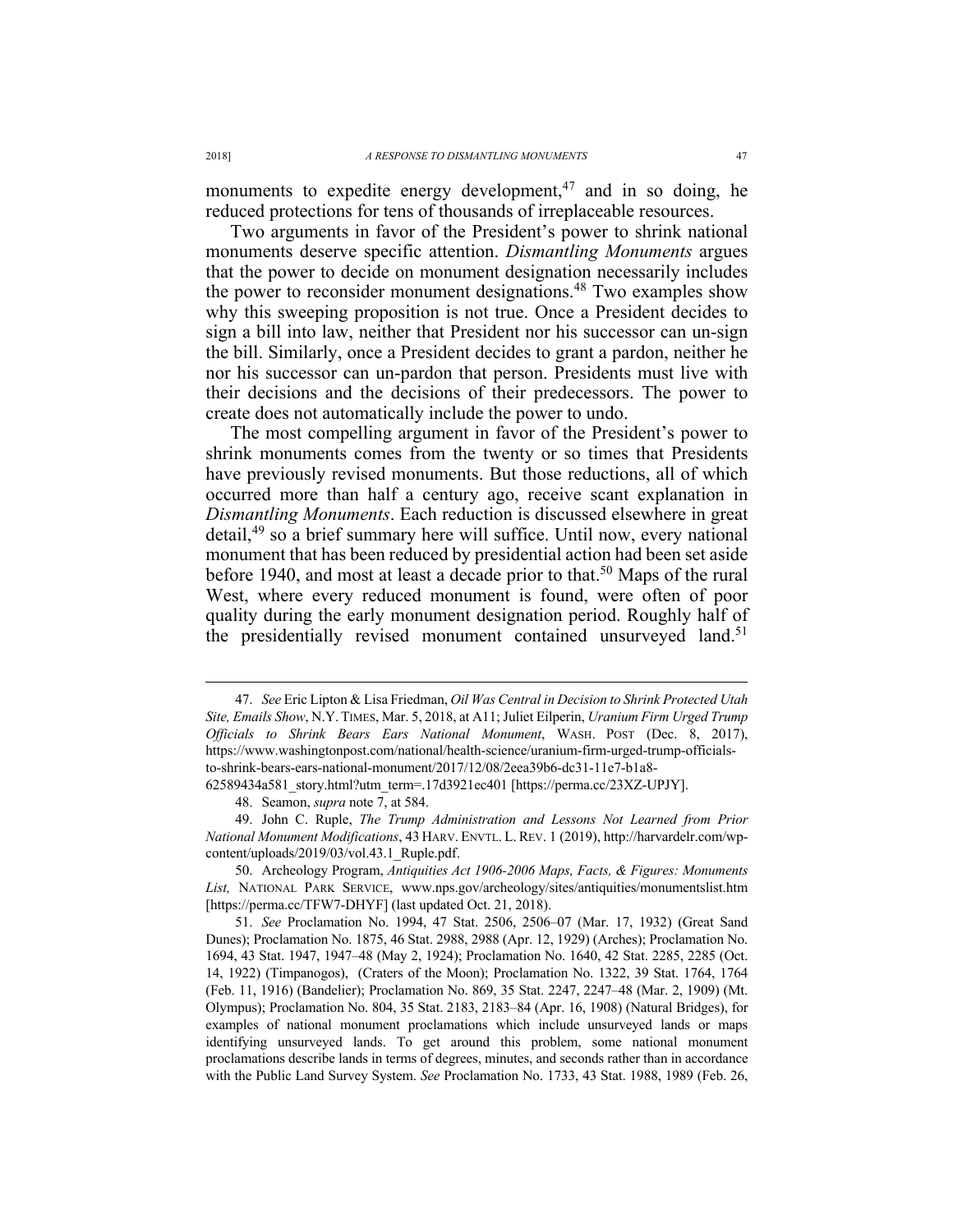monuments to expedite energy development, $47$  and in so doing, he reduced protections for tens of thousands of irreplaceable resources.

Two arguments in favor of the President's power to shrink national monuments deserve specific attention. *Dismantling Monuments* argues that the power to decide on monument designation necessarily includes the power to reconsider monument designations. <sup>48</sup> Two examples show why this sweeping proposition is not true. Once a President decides to sign a bill into law, neither that President nor his successor can un-sign the bill. Similarly, once a President decides to grant a pardon, neither he nor his successor can un-pardon that person. Presidents must live with their decisions and the decisions of their predecessors. The power to create does not automatically include the power to undo.

The most compelling argument in favor of the President's power to shrink monuments comes from the twenty or so times that Presidents have previously revised monuments. But those reductions, all of which occurred more than half a century ago, receive scant explanation in *Dismantling Monuments*. Each reduction is discussed elsewhere in great detail,49 so a brief summary here will suffice. Until now, every national monument that has been reduced by presidential action had been set aside before 1940, and most at least a decade prior to that.<sup>50</sup> Maps of the rural West, where every reduced monument is found, were often of poor quality during the early monument designation period. Roughly half of the presidentially revised monument contained unsurveyed land.<sup>51</sup>

62589434a581\_story.html?utm\_term=.17d3921ec401 [https://perma.cc/23XZ-UPJY].

 <sup>47.</sup> *See* Eric Lipton & Lisa Friedman, *Oil Was Central in Decision to Shrink Protected Utah Site, Emails Show*, N.Y. TIMES, Mar. 5, 2018, at A11; Juliet Eilperin, *Uranium Firm Urged Trump Officials to Shrink Bears Ears National Monument*, WASH. POST (Dec. 8, 2017), https://www.washingtonpost.com/national/health-science/uranium-firm-urged-trump-officialsto-shrink-bears-ears-national-monument/2017/12/08/2eea39b6-dc31-11e7-b1a8-

<sup>48.</sup> Seamon, *supra* note 7, at 584.

<sup>49.</sup> John C. Ruple, *The Trump Administration and Lessons Not Learned from Prior National Monument Modifications*, 43 HARV. ENVTL. L. REV. 1 (2019), http://harvardelr.com/wpcontent/uploads/2019/03/vol.43.1\_Ruple.pdf.

<sup>50.</sup> Archeology Program, *Antiquities Act 1906-2006 Maps, Facts, & Figures: Monuments List,* NATIONAL PARK SERVICE, www.nps.gov/archeology/sites/antiquities/monumentslist.htm [https://perma.cc/TFW7-DHYF] (last updated Oct. 21, 2018).

<sup>51.</sup> *See* Proclamation No. 1994, 47 Stat. 2506, 2506–07 (Mar. 17, 1932) (Great Sand Dunes); Proclamation No. 1875, 46 Stat. 2988, 2988 (Apr. 12, 1929) (Arches); Proclamation No. 1694, 43 Stat. 1947, 1947–48 (May 2, 1924); Proclamation No. 1640, 42 Stat. 2285, 2285 (Oct. 14, 1922) (Timpanogos), (Craters of the Moon); Proclamation No. 1322, 39 Stat. 1764, 1764 (Feb. 11, 1916) (Bandelier); Proclamation No. 869, 35 Stat. 2247, 2247–48 (Mar. 2, 1909) (Mt. Olympus); Proclamation No. 804, 35 Stat. 2183, 2183–84 (Apr. 16, 1908) (Natural Bridges), for examples of national monument proclamations which include unsurveyed lands or maps identifying unsurveyed lands. To get around this problem, some national monument proclamations describe lands in terms of degrees, minutes, and seconds rather than in accordance with the Public Land Survey System. *See* Proclamation No. 1733, 43 Stat. 1988, 1989 (Feb. 26,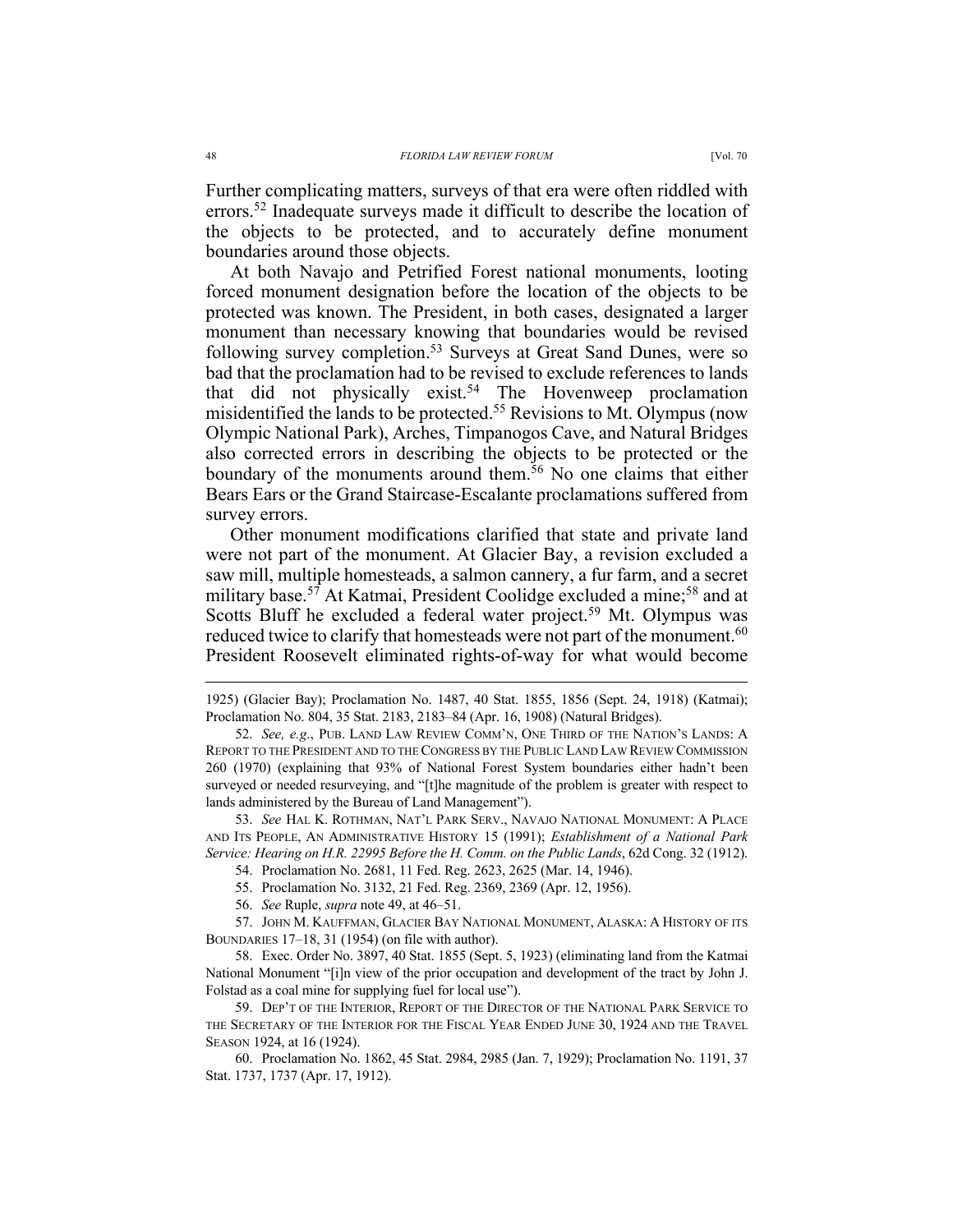Further complicating matters, surveys of that era were often riddled with errors.<sup>52</sup> Inadequate surveys made it difficult to describe the location of the objects to be protected, and to accurately define monument boundaries around those objects.

At both Navajo and Petrified Forest national monuments, looting forced monument designation before the location of the objects to be protected was known. The President, in both cases, designated a larger monument than necessary knowing that boundaries would be revised following survey completion.<sup>53</sup> Surveys at Great Sand Dunes, were so bad that the proclamation had to be revised to exclude references to lands that did not physically exist.<sup>54</sup> The Hovenweep proclamation misidentified the lands to be protected.55 Revisions to Mt. Olympus (now Olympic National Park), Arches, Timpanogos Cave, and Natural Bridges also corrected errors in describing the objects to be protected or the boundary of the monuments around them.<sup>56</sup> No one claims that either Bears Ears or the Grand Staircase-Escalante proclamations suffered from survey errors.

Other monument modifications clarified that state and private land were not part of the monument. At Glacier Bay, a revision excluded a saw mill, multiple homesteads, a salmon cannery, a fur farm, and a secret military base.<sup>57</sup> At Katmai, President Coolidge excluded a mine;<sup>58</sup> and at Scotts Bluff he excluded a federal water project.<sup>59</sup> Mt. Olympus was reduced twice to clarify that homesteads were not part of the monument.<sup>60</sup> President Roosevelt eliminated rights-of-way for what would become

59. DEP'T OF THE INTERIOR, REPORT OF THE DIRECTOR OF THE NATIONAL PARK SERVICE TO THE SECRETARY OF THE INTERIOR FOR THE FISCAL YEAR ENDED JUNE 30, 1924 AND THE TRAVEL SEASON 1924, at 16 (1924).

60. Proclamation No. 1862, 45 Stat. 2984, 2985 (Jan. 7, 1929); Proclamation No. 1191, 37 Stat. 1737, 1737 (Apr. 17, 1912).

 <sup>1925) (</sup>Glacier Bay); Proclamation No. 1487, 40 Stat. 1855, 1856 (Sept. 24, 1918) (Katmai); Proclamation No. 804, 35 Stat. 2183, 2183–84 (Apr. 16, 1908) (Natural Bridges).

<sup>52.</sup> *See, e.g*., PUB. LAND LAW REVIEW COMM'N, ONE THIRD OF THE NATION'S LANDS: A REPORT TO THE PRESIDENT AND TO THE CONGRESS BY THE PUBLIC LAND LAW REVIEW COMMISSION 260 (1970) (explaining that 93% of National Forest System boundaries either hadn't been surveyed or needed resurveying, and "[t]he magnitude of the problem is greater with respect to lands administered by the Bureau of Land Management").

<sup>53.</sup> *See* HAL K. ROTHMAN, NAT'L PARK SERV., NAVAJO NATIONAL MONUMENT: A PLACE AND ITS PEOPLE, AN ADMINISTRATIVE HISTORY 15 (1991); *Establishment of a National Park Service: Hearing on H.R. 22995 Before the H. Comm. on the Public Lands*, 62d Cong. 32 (1912).

<sup>54.</sup> Proclamation No. 2681, 11 Fed. Reg. 2623, 2625 (Mar. 14, 1946).

<sup>55.</sup> Proclamation No. 3132, 21 Fed. Reg. 2369, 2369 (Apr. 12, 1956).

<sup>56.</sup> *See* Ruple, *supra* note 49, at 46–51.

<sup>57.</sup> JOHN M. KAUFFMAN, GLACIER BAY NATIONAL MONUMENT, ALASKA: A HISTORY OF ITS BOUNDARIES 17–18, 31 (1954) (on file with author).

<sup>58.</sup> Exec. Order No. 3897, 40 Stat. 1855 (Sept. 5, 1923) (eliminating land from the Katmai National Monument "[i]n view of the prior occupation and development of the tract by John J. Folstad as a coal mine for supplying fuel for local use").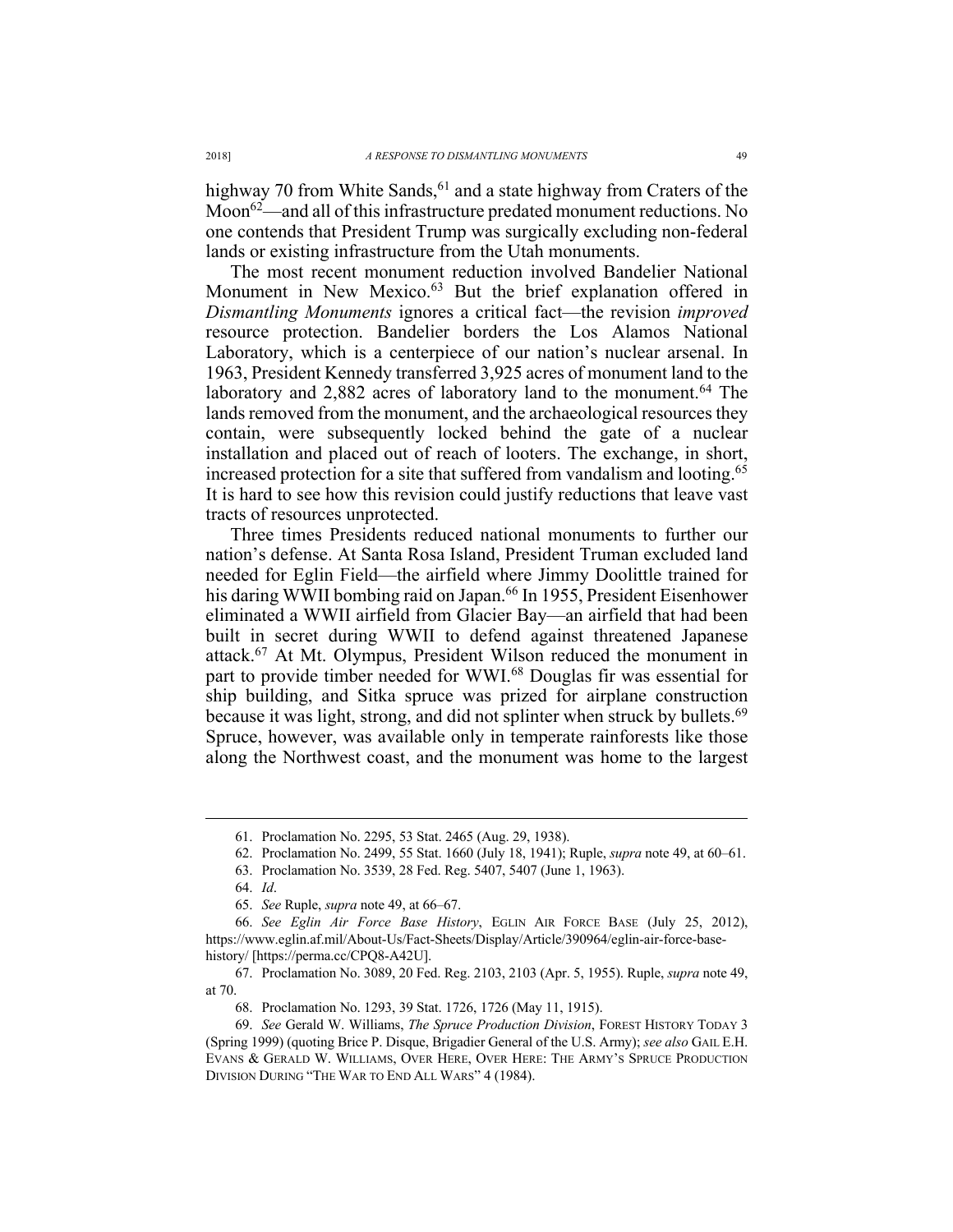highway 70 from White Sands,  $61$  and a state highway from Craters of the Moon<sup>62</sup>—and all of this infrastructure predated monument reductions. No one contends that President Trump was surgically excluding non-federal lands or existing infrastructure from the Utah monuments.

The most recent monument reduction involved Bandelier National Monument in New Mexico.<sup>63</sup> But the brief explanation offered in *Dismantling Monuments* ignores a critical fact—the revision *improved* resource protection. Bandelier borders the Los Alamos National Laboratory, which is a centerpiece of our nation's nuclear arsenal. In 1963, President Kennedy transferred 3,925 acres of monument land to the laboratory and 2,882 acres of laboratory land to the monument.<sup>64</sup> The lands removed from the monument, and the archaeological resources they contain, were subsequently locked behind the gate of a nuclear installation and placed out of reach of looters. The exchange, in short, increased protection for a site that suffered from vandalism and looting.<sup>65</sup> It is hard to see how this revision could justify reductions that leave vast tracts of resources unprotected.

Three times Presidents reduced national monuments to further our nation's defense. At Santa Rosa Island, President Truman excluded land needed for Eglin Field—the airfield where Jimmy Doolittle trained for his daring WWII bombing raid on Japan.<sup>66</sup> In 1955, President Eisenhower eliminated a WWII airfield from Glacier Bay—an airfield that had been built in secret during WWII to defend against threatened Japanese attack.67 At Mt. Olympus, President Wilson reduced the monument in part to provide timber needed for WWI.<sup>68</sup> Douglas fir was essential for ship building, and Sitka spruce was prized for airplane construction because it was light, strong, and did not splinter when struck by bullets.<sup>69</sup> Spruce, however, was available only in temperate rainforests like those along the Northwest coast, and the monument was home to the largest

 <sup>61.</sup> Proclamation No. 2295, 53 Stat. 2465 (Aug. 29, 1938).

<sup>62.</sup> Proclamation No. 2499, 55 Stat. 1660 (July 18, 1941); Ruple, *supra* note 49, at 60–61.

<sup>63.</sup> Proclamation No. 3539, 28 Fed. Reg. 5407, 5407 (June 1, 1963).

<sup>64.</sup> *Id*.

<sup>65.</sup> *See* Ruple, *supra* note 49, at 66–67.

<sup>66.</sup> *See Eglin Air Force Base History*, EGLIN AIR FORCE BASE (July 25, 2012), https://www.eglin.af.mil/About-Us/Fact-Sheets/Display/Article/390964/eglin-air-force-basehistory/ [https://perma.cc/CPQ8-A42U].

<sup>67.</sup> Proclamation No. 3089, 20 Fed. Reg. 2103, 2103 (Apr. 5, 1955). Ruple, *supra* note 49, at 70.

<sup>68.</sup> Proclamation No. 1293, 39 Stat. 1726, 1726 (May 11, 1915).

<sup>69.</sup> *See* Gerald W. Williams, *The Spruce Production Division*, FOREST HISTORY TODAY 3 (Spring 1999) (quoting Brice P. Disque, Brigadier General of the U.S. Army); *see also* GAIL E.H. EVANS & GERALD W. WILLIAMS, OVER HERE, OVER HERE: THE ARMY'S SPRUCE PRODUCTION DIVISION DURING "THE WAR TO END ALL WARS" 4 (1984).